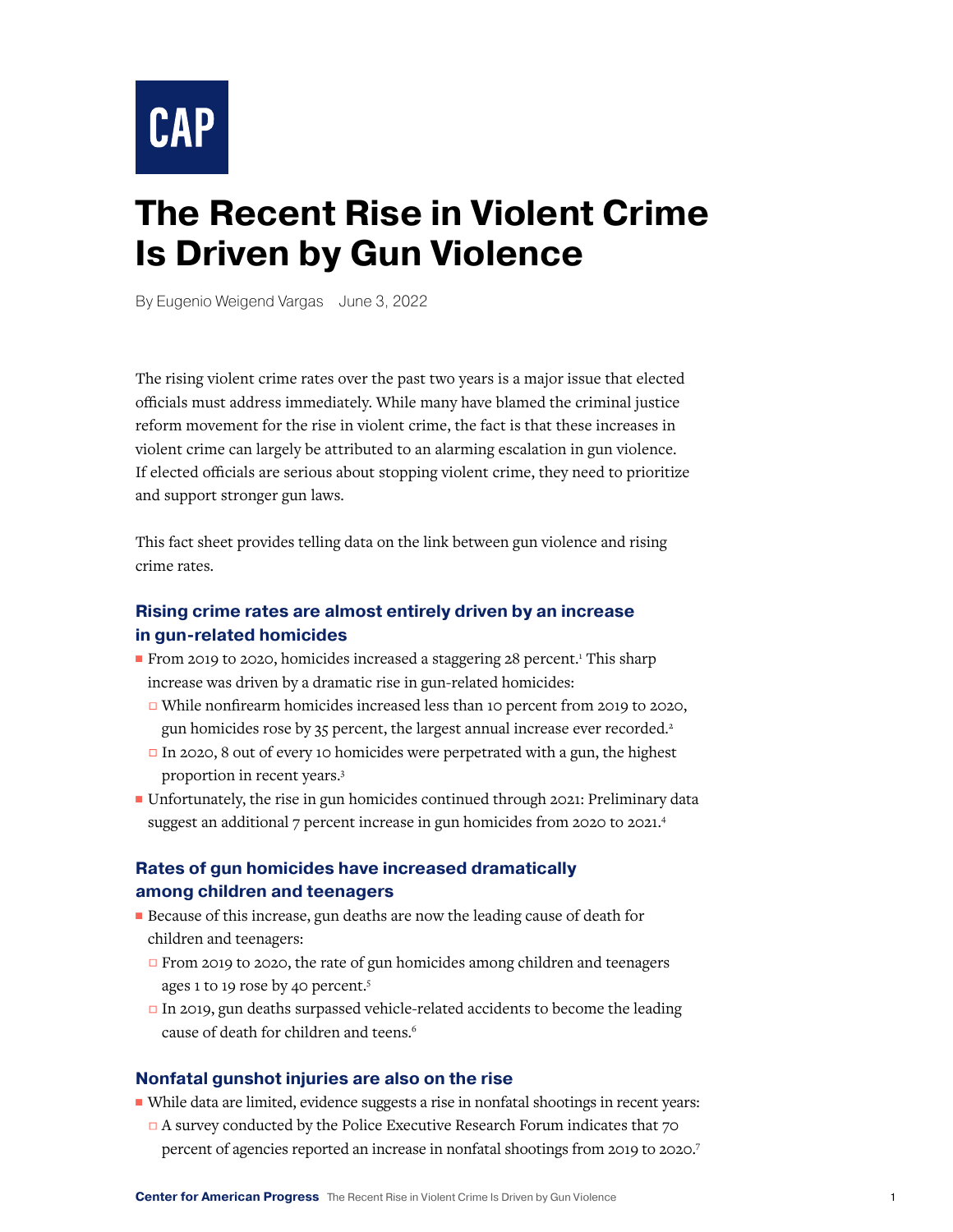

# **The Recent Rise in Violent Crime Is Driven by Gun Violence**

By Eugenio Weigend Vargas June 3, 2022

The rising violent crime rates over the past two years is a major issue that elected officials must address immediately. While many have blamed the criminal justice reform movement for the rise in violent crime, the fact is that these increases in violent crime can largely be attributed to an alarming escalation in gun violence. If elected officials are serious about stopping violent crime, they need to prioritize and support stronger gun laws.

This fact sheet provides telling data on the link between gun violence and rising crime rates.

# **Rising crime rates are almost entirely driven by an increase in gun-related homicides**

- From 2019 to 2020, homicides increased a staggering 28 percent.<sup>1</sup> This sharp increase was driven by a dramatic rise in gun-related homicides:
	- □ While nonfirearm homicides increased less than 10 percent from 2019 to 2020, gun homicides rose by 35 percent, the largest annual increase ever recorded.<sup>2</sup>
	- $\Box$  In 2020, 8 out of every 10 homicides were perpetrated with a gun, the highest proportion in recent years.3
- Unfortunately, the rise in gun homicides continued through 2021: Preliminary data suggest an additional 7 percent increase in gun homicides from 2020 to 2021.4

# **Rates of gun homicides have increased dramatically among children and teenagers**

- Because of this increase, gun deaths are now the leading cause of death for children and teenagers:
	- □ From 2019 to 2020, the rate of gun homicides among children and teenagers ages 1 to 19 rose by 40 percent.<sup>5</sup>
	- □ In 2019, gun deaths surpassed vehicle-related accidents to become the leading cause of death for children and teens. $6$

#### **Nonfatal gunshot injuries are also on the rise**

- While data are limited, evidence suggests a rise in nonfatal shootings in recent years:
- $\Box$  A survey conducted by the Police Executive Research Forum indicates that 70 percent of agencies reported an increase in nonfatal shootings from 2019 to 2020.<sup>7</sup>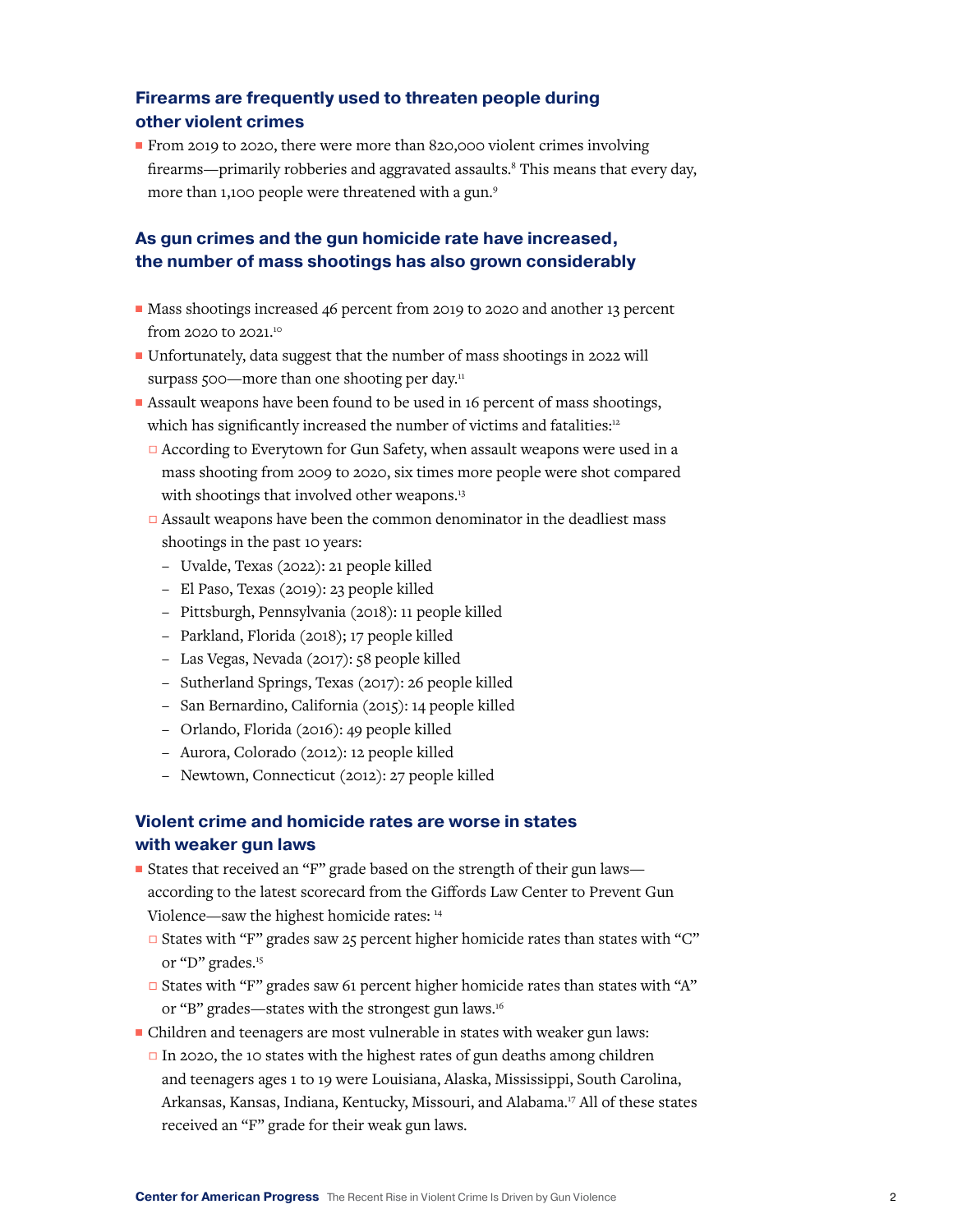#### **Firearms are frequently used to threaten people during other violent crimes**

■ From 2019 to 2020, there were more than 820,000 violent crimes involving firearms—primarily robberies and aggravated assaults.<sup>8</sup> This means that every day, more than 1,100 people were threatened with a gun.<sup>9</sup>

# **As gun crimes and the gun homicide rate have increased, the number of mass shootings has also grown considerably**

- Mass shootings increased 46 percent from 2019 to 2020 and another 13 percent from 2020 to 2021.10
- Unfortunately, data suggest that the number of mass shootings in 2022 will surpass  $500$ —more than one shooting per day.<sup>11</sup>
- Assault weapons have been found to be used in 16 percent of mass shootings, which has significantly increased the number of victims and fatalities:<sup>12</sup>
	- $\Box$  According to Everytown for Gun Safety, when assault weapons were used in a mass shooting from 2009 to 2020, six times more people were shot compared with shootings that involved other weapons.<sup>13</sup>
	- $\Box$  Assault weapons have been the common denominator in the deadliest mass shootings in the past 10 years:
		- Uvalde, Texas (2022): 21 people killed
		- El Paso, Texas (2019): 23 people killed
		- Pittsburgh, Pennsylvania (2018): 11 people killed
		- Parkland, Florida (2018); 17 people killed
		- Las Vegas, Nevada (2017): 58 people killed
		- Sutherland Springs, Texas (2017): 26 people killed
		- San Bernardino, California (2015): 14 people killed
		- Orlando, Florida (2016): 49 people killed
		- Aurora, Colorado (2012): 12 people killed
		- Newtown, Connecticut (2012): 27 people killed

### **Violent crime and homicide rates are worse in states with weaker gun laws**

- States that received an "F" grade based on the strength of their gun laws according to the latest scorecard from the Giffords Law Center to Prevent Gun Violence—saw the highest homicide rates: 14
	- $\square$  States with "F" grades saw 25 percent higher homicide rates than states with "C" or "D" grades.<sup>15</sup>
	- $\Box$  States with "F" grades saw 61 percent higher homicide rates than states with "A" or "B" grades—states with the strongest gun laws.<sup>16</sup>
- Children and teenagers are most vulnerable in states with weaker gun laws:
	- $\Box$  In 2020, the 10 states with the highest rates of gun deaths among children and teenagers ages 1 to 19 were Louisiana, Alaska, Mississippi, South Carolina, Arkansas, Kansas, Indiana, Kentucky, Missouri, and Alabama.<sup>17</sup> All of these states received an "F" grade for their weak gun laws.